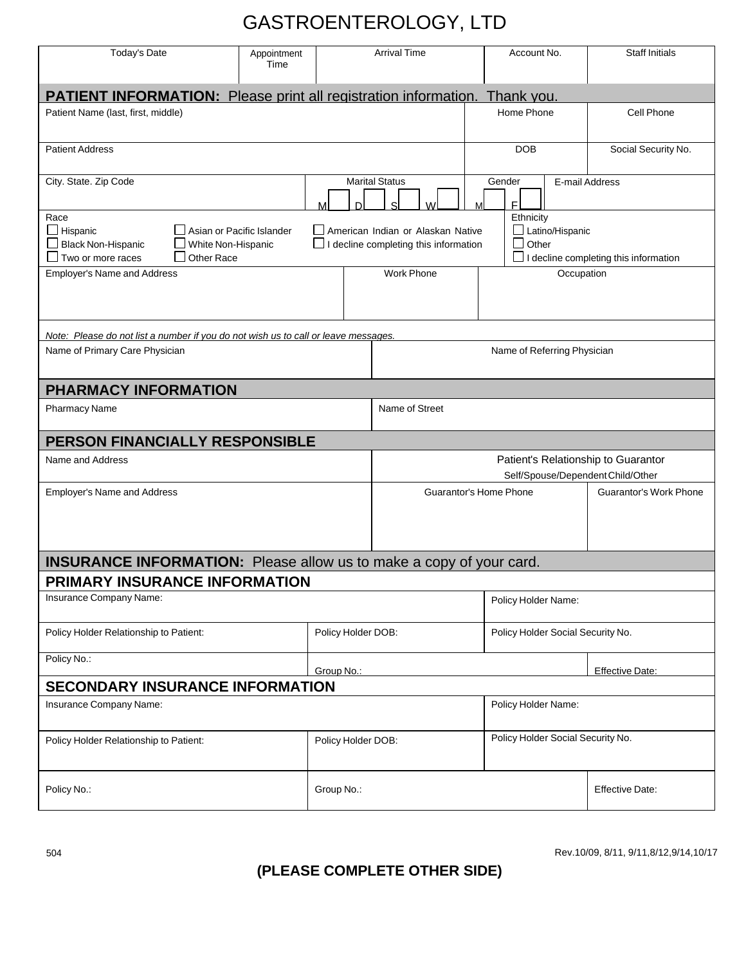## GASTROENTEROLOGY, LTD

| Today's Date                                                                                                                                      | Appointment<br>Time             |                    | <b>Arrival Time</b>                                                               |                                                                                              | Account No.                       | <b>Staff Initials</b>         |
|---------------------------------------------------------------------------------------------------------------------------------------------------|---------------------------------|--------------------|-----------------------------------------------------------------------------------|----------------------------------------------------------------------------------------------|-----------------------------------|-------------------------------|
| <b>PATIENT INFORMATION:</b> Please print all registration information.<br>Thank you                                                               |                                 |                    |                                                                                   |                                                                                              |                                   |                               |
| Patient Name (last, first, middle)                                                                                                                |                                 |                    |                                                                                   |                                                                                              | Home Phone                        | Cell Phone                    |
| <b>Patient Address</b>                                                                                                                            |                                 |                    |                                                                                   |                                                                                              | <b>DOB</b>                        | Social Security No.           |
| City. State. Zip Code<br>м                                                                                                                        |                                 |                    | <b>Marital Status</b><br>M                                                        |                                                                                              | Gender<br>F                       | E-mail Address                |
| Race<br>$\Box$ Hispanic<br>Asian or Pacific Islander<br>$\Box$ Black Non-Hispanic<br>White Non-Hispanic<br>Other Race<br>$\Box$ Two or more races |                                 |                    | American Indian or Alaskan Native<br>$\Box$ I decline completing this information | Ethnicity<br>Latino/Hispanic<br>$\Box$ Other<br>$\Box$ I decline completing this information |                                   |                               |
| <b>Employer's Name and Address</b>                                                                                                                | <b>Work Phone</b><br>Occupation |                    |                                                                                   |                                                                                              |                                   |                               |
| Note: Please do not list a number if you do not wish us to call or leave messages.                                                                |                                 |                    |                                                                                   |                                                                                              |                                   |                               |
| Name of Primary Care Physician                                                                                                                    |                                 |                    | Name of Referring Physician                                                       |                                                                                              |                                   |                               |
| <b>PHARMACY INFORMATION</b>                                                                                                                       |                                 |                    |                                                                                   |                                                                                              |                                   |                               |
| <b>Pharmacy Name</b>                                                                                                                              |                                 |                    | Name of Street                                                                    |                                                                                              |                                   |                               |
| PERSON FINANCIALLY RESPONSIBLE                                                                                                                    |                                 |                    |                                                                                   |                                                                                              |                                   |                               |
| Name and Address                                                                                                                                  |                                 |                    | Patient's Relationship to Guarantor<br>Self/Spouse/Dependent Child/Other          |                                                                                              |                                   |                               |
| Employer's Name and Address                                                                                                                       |                                 |                    | Guarantor's Home Phone                                                            |                                                                                              |                                   | <b>Guarantor's Work Phone</b> |
| <b>INSURANCE INFORMATION:</b> Please allow us to make a copy of your card.                                                                        |                                 |                    |                                                                                   |                                                                                              |                                   |                               |
| PRIMARY INSURANCE INFORMATION                                                                                                                     |                                 |                    |                                                                                   |                                                                                              |                                   |                               |
| Insurance Company Name:                                                                                                                           |                                 |                    |                                                                                   | Policy Holder Name:                                                                          |                                   |                               |
| Policy Holder Relationship to Patient:                                                                                                            |                                 | Policy Holder DOB: |                                                                                   |                                                                                              | Policy Holder Social Security No. |                               |
| Policy No.:<br>Group No.:                                                                                                                         |                                 |                    |                                                                                   | <b>Effective Date:</b>                                                                       |                                   |                               |
| <b>SECONDARY INSURANCE INFORMATION</b>                                                                                                            |                                 |                    |                                                                                   |                                                                                              |                                   |                               |
| Insurance Company Name:                                                                                                                           |                                 |                    |                                                                                   | Policy Holder Name:                                                                          |                                   |                               |
| Policy Holder Relationship to Patient:                                                                                                            |                                 | Policy Holder DOB: |                                                                                   |                                                                                              | Policy Holder Social Security No. |                               |
| Policy No.:                                                                                                                                       |                                 | Group No.:         |                                                                                   |                                                                                              |                                   | <b>Effective Date:</b>        |